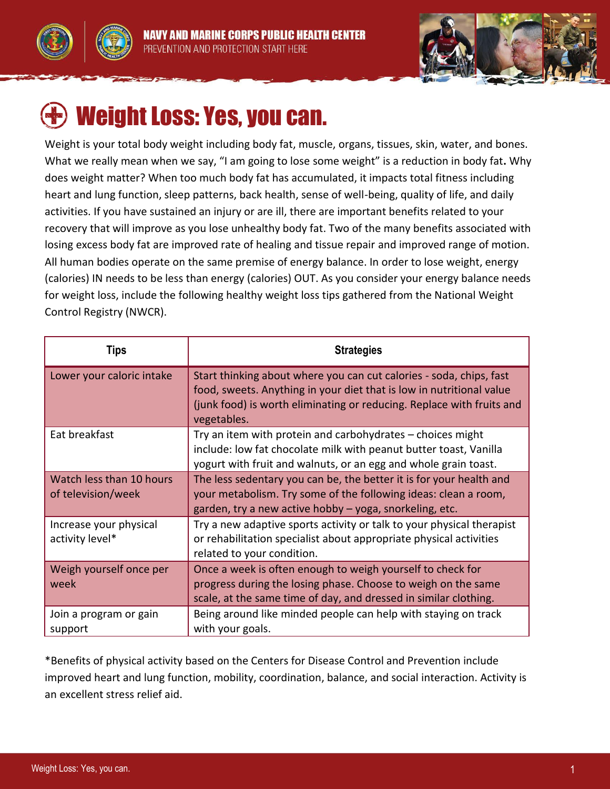



# Weight Loss: Yes, you can.

Weight is your total body weight including body fat, muscle, organs, tissues, skin, water, and bones. What we really mean when we say, "I am going to lose some weight" is a reduction in body fat**.** Why does weight matter? When too much body fat has accumulated, it impacts total fitness including heart and lung function, sleep patterns, back health, sense of well-being, quality of life, and daily activities. If you have sustained an injury or are ill, there are important benefits related to your recovery that will improve as you lose unhealthy body fat. Two of the many benefits associated with losing excess body fat are improved rate of healing and tissue repair and improved range of motion. All human bodies operate on the same premise of energy balance. In order to lose weight, energy (calories) IN needs to be less than energy (calories) OUT. As you consider your energy balance needs for weight loss, include the following healthy weight loss tips gathered from the National Weight Control Registry (NWCR).

| Tips                                           | <b>Strategies</b>                                                                                                                                                                                                                   |
|------------------------------------------------|-------------------------------------------------------------------------------------------------------------------------------------------------------------------------------------------------------------------------------------|
| Lower your caloric intake                      | Start thinking about where you can cut calories - soda, chips, fast<br>food, sweets. Anything in your diet that is low in nutritional value<br>(junk food) is worth eliminating or reducing. Replace with fruits and<br>vegetables. |
| Eat breakfast                                  | Try an item with protein and carbohydrates - choices might<br>include: low fat chocolate milk with peanut butter toast, Vanilla<br>yogurt with fruit and walnuts, or an egg and whole grain toast.                                  |
| Watch less than 10 hours<br>of television/week | The less sedentary you can be, the better it is for your health and<br>your metabolism. Try some of the following ideas: clean a room,<br>garden, try a new active hobby - yoga, snorkeling, etc.                                   |
| Increase your physical<br>activity level*      | Try a new adaptive sports activity or talk to your physical therapist<br>or rehabilitation specialist about appropriate physical activities<br>related to your condition.                                                           |
| Weigh yourself once per<br>week                | Once a week is often enough to weigh yourself to check for<br>progress during the losing phase. Choose to weigh on the same<br>scale, at the same time of day, and dressed in similar clothing.                                     |
| Join a program or gain<br>support              | Being around like minded people can help with staying on track<br>with your goals.                                                                                                                                                  |

\*Benefits of physical activity based on the Centers for Disease Control and Prevention include improved heart and lung function, mobility, coordination, balance, and social interaction. Activity is an excellent stress relief aid.